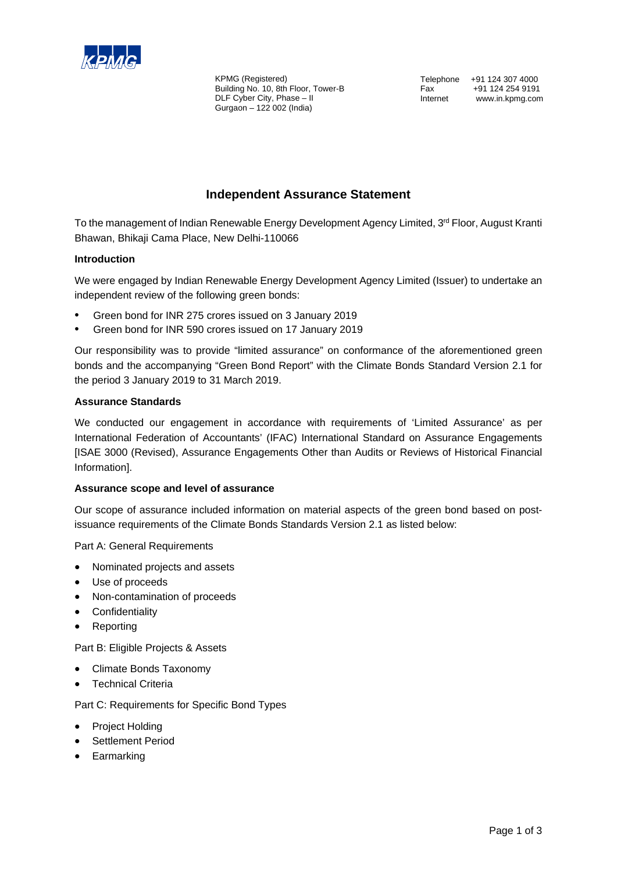

KPMG (Registered) Building No. 10, 8th Floor, Tower-B DLF Cyber City, Phase – II Gurgaon – 122 002 (India)

Telephone +91 124 307 4000 Fax +91 124 254 9191<br>Internet www.in.kpmg.com www.in.kpmg.com

# **Independent Assurance Statement**

To the management of Indian Renewable Energy Development Agency Limited, 3<sup>rd</sup> Floor, August Kranti Bhawan, Bhikaji Cama Place, New Delhi-110066

## **Introduction**

We were engaged by Indian Renewable Energy Development Agency Limited (Issuer) to undertake an independent review of the following green bonds:

- Green bond for INR 275 crores issued on 3 January 2019
- Green bond for INR 590 crores issued on 17 January 2019

Our responsibility was to provide "limited assurance" on conformance of the aforementioned green bonds and the accompanying "Green Bond Report" with the Climate Bonds Standard Version 2.1 for the period 3 January 2019 to 31 March 2019.

## **Assurance Standards**

We conducted our engagement in accordance with requirements of 'Limited Assurance' as per International Federation of Accountants' (IFAC) International Standard on Assurance Engagements [ISAE 3000 (Revised), Assurance Engagements Other than Audits or Reviews of Historical Financial Information].

## **Assurance scope and level of assurance**

Our scope of assurance included information on material aspects of the green bond based on postissuance requirements of the Climate Bonds Standards Version 2.1 as listed below:

Part A: General Requirements

- Nominated projects and assets
- Use of proceeds
- Non-contamination of proceeds
- Confidentiality
- **Reporting**

Part B: Eligible Projects & Assets

- Climate Bonds Taxonomy
- **Technical Criteria**

Part C: Requirements for Specific Bond Types

- Project Holding
- Settlement Period
- Earmarking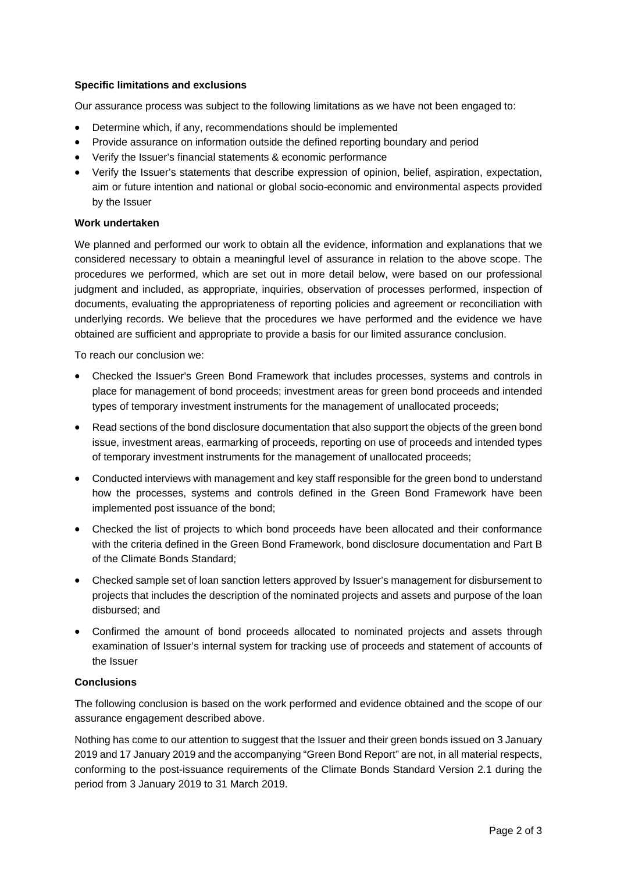## **Specific limitations and exclusions**

Our assurance process was subject to the following limitations as we have not been engaged to:

- Determine which, if any, recommendations should be implemented
- Provide assurance on information outside the defined reporting boundary and period
- Verify the Issuer's financial statements & economic performance
- Verify the Issuer's statements that describe expression of opinion, belief, aspiration, expectation, aim or future intention and national or global socio-economic and environmental aspects provided by the Issuer

## **Work undertaken**

We planned and performed our work to obtain all the evidence, information and explanations that we considered necessary to obtain a meaningful level of assurance in relation to the above scope. The procedures we performed, which are set out in more detail below, were based on our professional judgment and included, as appropriate, inquiries, observation of processes performed, inspection of documents, evaluating the appropriateness of reporting policies and agreement or reconciliation with underlying records. We believe that the procedures we have performed and the evidence we have obtained are sufficient and appropriate to provide a basis for our limited assurance conclusion.

To reach our conclusion we:

- Checked the Issuer's Green Bond Framework that includes processes, systems and controls in place for management of bond proceeds; investment areas for green bond proceeds and intended types of temporary investment instruments for the management of unallocated proceeds;
- Read sections of the bond disclosure documentation that also support the objects of the green bond issue, investment areas, earmarking of proceeds, reporting on use of proceeds and intended types of temporary investment instruments for the management of unallocated proceeds;
- Conducted interviews with management and key staff responsible for the green bond to understand how the processes, systems and controls defined in the Green Bond Framework have been implemented post issuance of the bond;
- Checked the list of projects to which bond proceeds have been allocated and their conformance with the criteria defined in the Green Bond Framework, bond disclosure documentation and Part B of the Climate Bonds Standard;
- Checked sample set of loan sanction letters approved by Issuer's management for disbursement to projects that includes the description of the nominated projects and assets and purpose of the loan disbursed; and
- Confirmed the amount of bond proceeds allocated to nominated projects and assets through examination of Issuer's internal system for tracking use of proceeds and statement of accounts of the Issuer

## **Conclusions**

The following conclusion is based on the work performed and evidence obtained and the scope of our assurance engagement described above.

Nothing has come to our attention to suggest that the Issuer and their green bonds issued on 3 January 2019 and 17 January 2019 and the accompanying "Green Bond Report" are not, in all material respects, conforming to the post-issuance requirements of the Climate Bonds Standard Version 2.1 during the period from 3 January 2019 to 31 March 2019.